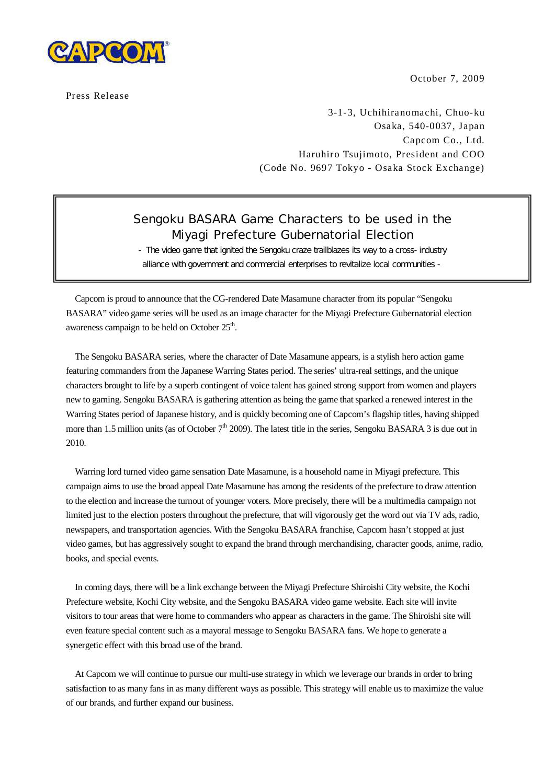

Press Release

October 7, 2009

3-1-3, Uchihiranomachi, Chuo-ku Osaka, 540-0037, Japan Capcom Co., Ltd. Haruhiro Tsujimoto, President and COO (Code No. 9697 Tokyo - Osaka Stock Exchange)

## Sengoku BASARA Game Characters to be used in the Miyagi Prefecture Gubernatorial Election

- The video game that ignited the Sengoku craze trailblazes its way to a cross-industry alliance with government and commercial enterprises to revitalize local communities -

Capcom is proud to announce that the CG-rendered Date Masamune character from its popular "Sengoku BASARA" video game series will be used as an image character for the Miyagi Prefecture Gubernatorial election awareness campaign to be held on October 25<sup>th</sup>.

The Sengoku BASARA series, where the character of Date Masamune appears, is a stylish hero action game featuring commanders from the Japanese Warring States period. The series' ultra-real settings, and the unique characters brought to life by a superb contingent of voice talent has gained strong support from women and players new to gaming. Sengoku BASARA is gathering attention as being the game that sparked a renewed interest in the Warring States period of Japanese history, and is quickly becoming one of Capcom's flagship titles, having shipped more than 1.5 million units (as of October  $7<sup>th</sup>$  2009). The latest title in the series, Sengoku BASARA 3 is due out in 2010.

Warring lord turned video game sensation Date Masamune, is a household name in Miyagi prefecture. This campaign aims to use the broad appeal Date Masamune has among the residents of the prefecture to draw attention to the election and increase the turnout of younger voters. More precisely, there will be a multimedia campaign not limited just to the election posters throughout the prefecture, that will vigorously get the word out via TV ads, radio, newspapers, and transportation agencies. With the Sengoku BASARA franchise, Capcom hasn't stopped at just video games, but has aggressively sought to expand the brand through merchandising, character goods, anime, radio, books, and special events.

In coming days, there will be a link exchange between the Miyagi Prefecture Shiroishi City website, the Kochi Prefecture website, Kochi City website, and the Sengoku BASARA video game website. Each site will invite visitors to tour areas that were home to commanders who appear as characters in the game. The Shiroishi site will even feature special content such as a mayoral message to Sengoku BASARA fans. We hope to generate a synergetic effect with this broad use of the brand.

At Capcom we will continue to pursue our multi-use strategy in which we leverage our brands in order to bring satisfaction to as many fans in as many different ways as possible. This strategy will enable us to maximize the value of our brands, and further expand our business.